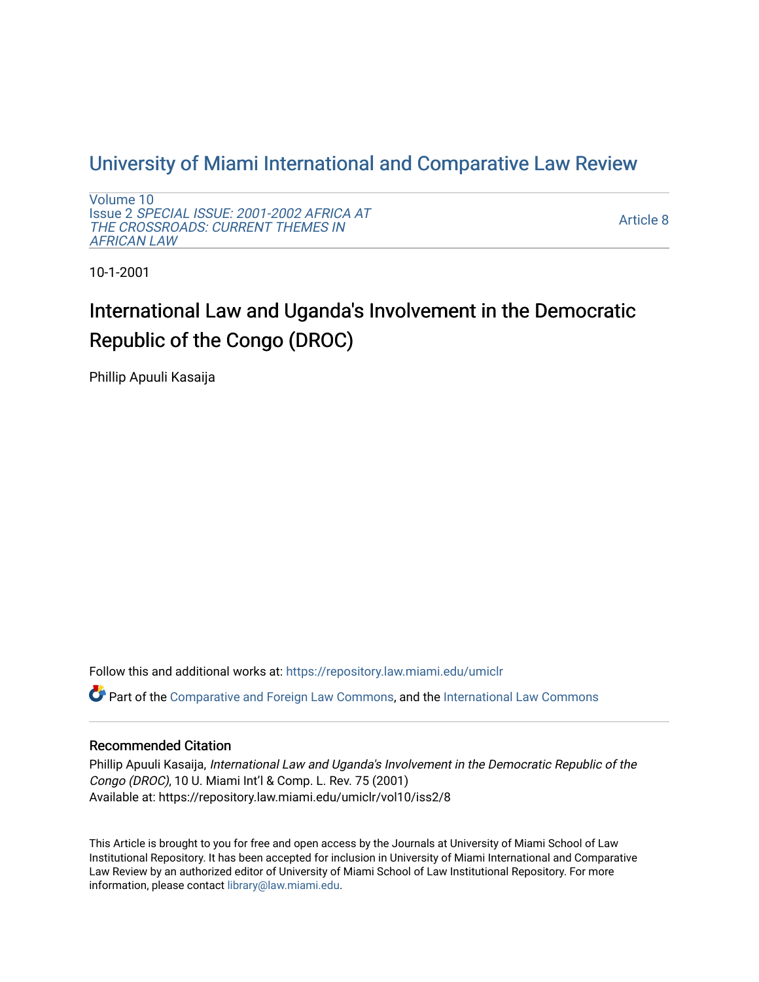# [University of Miami International and Comparative Law Review](https://repository.law.miami.edu/umiclr)

[Volume 10](https://repository.law.miami.edu/umiclr/vol10) Issue 2 [SPECIAL ISSUE: 2001-2002 AFRICA AT](https://repository.law.miami.edu/umiclr/vol10/iss2)  [THE CROSSROADS: CURRENT THEMES IN](https://repository.law.miami.edu/umiclr/vol10/iss2) [AFRICAN LAW](https://repository.law.miami.edu/umiclr/vol10/iss2) 

[Article 8](https://repository.law.miami.edu/umiclr/vol10/iss2/8) 

10-1-2001

# International Law and Uganda's Involvement in the Democratic Republic of the Congo (DROC)

Phillip Apuuli Kasaija

Follow this and additional works at: [https://repository.law.miami.edu/umiclr](https://repository.law.miami.edu/umiclr?utm_source=repository.law.miami.edu%2Fumiclr%2Fvol10%2Fiss2%2F8&utm_medium=PDF&utm_campaign=PDFCoverPages)

Part of the [Comparative and Foreign Law Commons,](http://network.bepress.com/hgg/discipline/836?utm_source=repository.law.miami.edu%2Fumiclr%2Fvol10%2Fiss2%2F8&utm_medium=PDF&utm_campaign=PDFCoverPages) and the [International Law Commons](http://network.bepress.com/hgg/discipline/609?utm_source=repository.law.miami.edu%2Fumiclr%2Fvol10%2Fiss2%2F8&utm_medium=PDF&utm_campaign=PDFCoverPages)

## Recommended Citation

Phillip Apuuli Kasaija, International Law and Uganda's Involvement in the Democratic Republic of the Congo (DROC), 10 U. Miami Int'l & Comp. L. Rev. 75 (2001) Available at: https://repository.law.miami.edu/umiclr/vol10/iss2/8

This Article is brought to you for free and open access by the Journals at University of Miami School of Law Institutional Repository. It has been accepted for inclusion in University of Miami International and Comparative Law Review by an authorized editor of University of Miami School of Law Institutional Repository. For more information, please contact [library@law.miami.edu](mailto:library@law.miami.edu).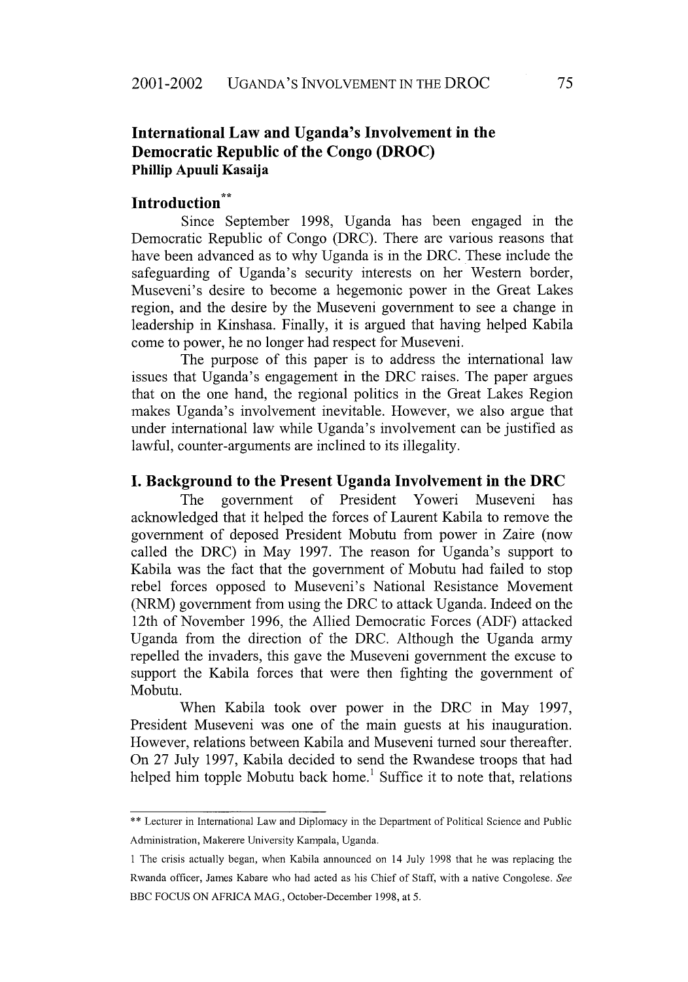# **International Law and Uganda's Involvement in the Democratic Republic of the Congo (DROC) Phillip Apuuli Kasaija**

# **Introduction"**

Since September **1998,** Uganda has been engaged in the Democratic Republic of Congo (DRC). There are various reasons that have been advanced as to why Uganda is in the DRC. These include the safeguarding of Uganda's security interests on her Western border, Museveni's desire to become a hegemonic power in the Great Lakes region, and the desire by the Museveni government to see a change in leadership in Kinshasa. Finally, it is argued that having helped Kabila come to power, he no longer had respect for Museveni.

The purpose of this paper is to address the international law issues that Uganda's engagement in the DRC raises. The paper argues that on the one hand, the regional politics in the Great Lakes Region makes Uganda's involvement inevitable. However, we also argue that under international law while Uganda's involvement can be justified as lawful, counter-arguments are inclined to its illegality.

#### **I. Background to the Present Uganda Involvement in the DRC**

The government of President Yoweri Museveni has acknowledged that it helped the forces of Laurent Kabila to remove the government of deposed President Mobutu from power in Zaire (now called the DRC) in May 1997. The reason for Uganda's support to Kabila was the fact that the government of Mobutu had failed to stop rebel forces opposed to Museveni's National Resistance Movement (NRM) government from using the DRC to attack Uganda. Indeed on the 12th of November 1996, the Allied Democratic Forces (ADF) attacked Uganda from the direction of the DRC. Although the Uganda army repelled the invaders, this gave the Museveni government the excuse to support the Kabila forces that were then fighting the government of Mobutu.

When Kabila took over power in the DRC in May 1997, President Museveni was one of the main guests at his inauguration. However, relations between Kabila and Museveni turned sour thereafter. On 27 July 1997, Kabila decided to send the Rwandese troops that had helped him topple Mobutu back home.<sup>1</sup> Suffice it to note that, relations

<sup>\*\*</sup> Lecturer in International Law and Diplomacy in the Department of Political Science and Public Administration, Makerere University Kampala, Uganda.

I The crisis actually began, when Kabila announced on 14 July 1998 that he was replacing the Rwanda officer, James Kabare who had acted as his Chief of Staff, with a native Congolese. See BBC FOCUS ON AFRICA MAG., October-December 1998, at 5.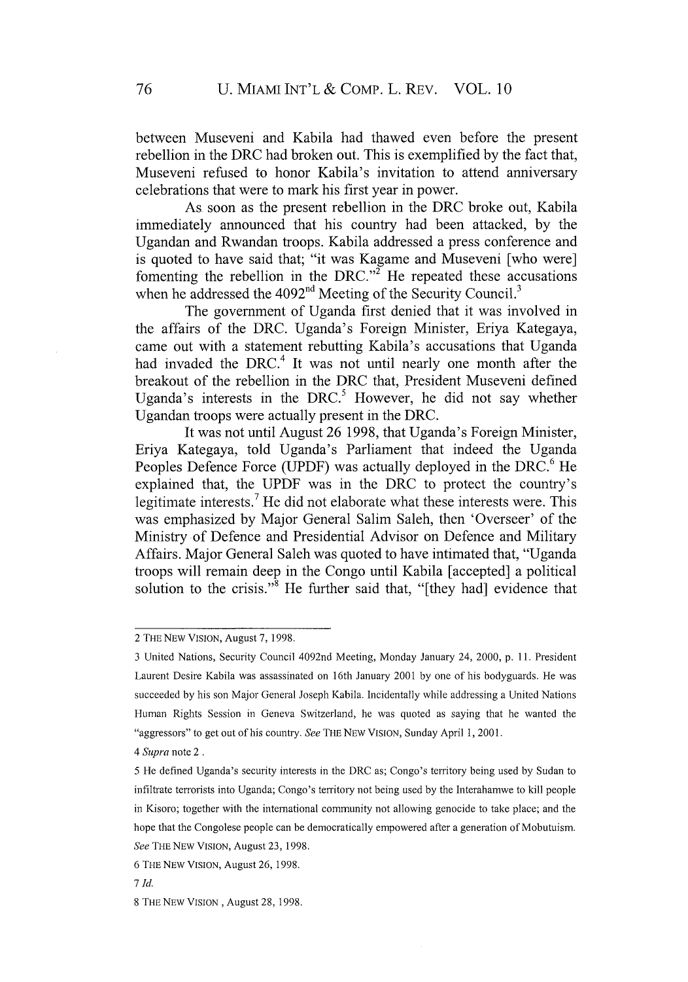between Museveni and Kabila had thawed even before the present rebellion in the DRC had broken out. This is exemplified by the fact that, Museveni refused to honor Kabila's invitation to attend anniversary celebrations that were to mark his first year in power.

As soon as the present rebellion in the DRC broke out, Kabila immediately announced that his country had been attacked, by the Ugandan and Rwandan troops. Kabila addressed a press conference and is quoted to have said that; "it was Kagame and Museveni [who were] fomenting the rebellion in the DRC."<sup> $\tilde{z}$ </sup> He repeated these accusations when he addressed the  $4092<sup>nd</sup>$  Meeting of the Security Council.<sup>3</sup>

The government of Uganda first denied that it was involved in the affairs of the DRC. Uganda's Foreign Minister, Eriya Kategaya, came out with a statement rebutting Kabila's accusations that Uganda had invaded the DRC.<sup>4</sup> It was not until nearly one month after the breakout of the rebellion in the DRC that, President Museveni defined Uganda's interests in the DRC.<sup>5</sup> However, he did not say whether Ugandan troops were actually present in the DRC.

It was not until August 26 1998, that Uganda's Foreign Minister, Eriya Kategaya, told Uganda's Parliament that indeed the Uganda Peoples Defence Force (UPDF) was actually deployed in the DRC.<sup>6</sup> He explained that, the UPDF was in the DRC to protect the country's legitimate interests.<sup>7</sup> He did not elaborate what these interests were. This was emphasized by Major General Salim Saleh, then 'Overseer' of the Ministry of Defence and Presidential Advisor on Defence and Military Affairs. Major General Saleh was quoted to have intimated that, "Uganda troops will remain deep in the Congo until Kabila [accepted] a political solution to the crisis."<sup>8</sup> He further said that, "[they had] evidence that

<sup>2</sup> THE NEW VISION, August 7, 1998.

<sup>3</sup> United Nations, Security Council 4092nd Meeting, Monday January 24, 2000, p. 11. President Laurent Desire Kabila was assassinated on 16th January 2001 by one of his bodyguards. He was succeeded by his son Major General Joseph Kabila. Incidentally while addressing a United Nations Human Rights Session in Geneva Switzerland, he was quoted as saying that he wanted the "aggressors" to get out of his country. *See* THE NEW VISION, Sunday April **1,** 2001.

*<sup>4</sup> Supra* note 2.

<sup>5</sup> He defined Uganda's security interests in the DRC as; Congo's territory being used by Sudan to infiltrate terrorists into Uganda; Congo's territory not being used by the Interahamwe to kill people in Kisoro; together with the international community not allowing genocide to take place; and the hope that the Congolese people can be democratically empowered after a generation of Mobutuism. *See* THE NEW VISION, August 23, 1998.

<sup>6</sup> THE NEW VISION, August 26, 1998.

**<sup>7</sup>** *Id.*

<sup>8</sup> THE NEW VISION, August 28, 1998.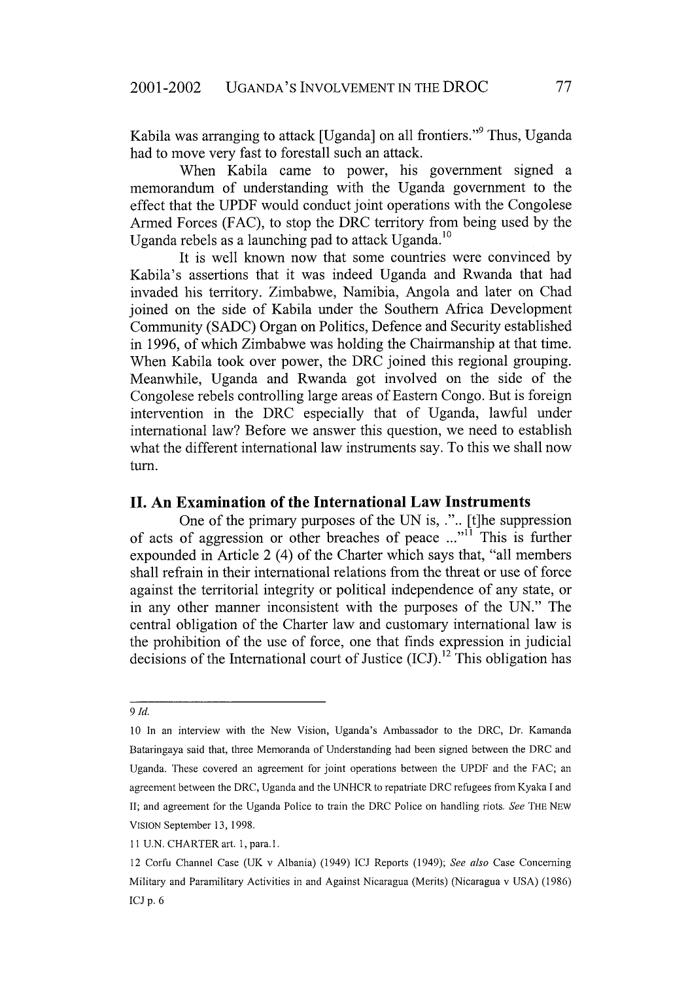Kabila was arranging to attack [Uganda] on all frontiers."<sup>9</sup> Thus, Uganda had to move very fast to forestall such an attack.

When Kabila came to power, his government signed a memorandum of understanding with the Uganda government to the effect that the UPDF would conduct joint operations with the Congolese Armed Forces (FAC), to stop the DRC territory from being used by the Uganda rebels as a launching pad to attack Uganda.<sup>1</sup>

It is well known now that some countries were convinced by Kabila's assertions that it was indeed Uganda and Rwanda that had invaded his territory. Zimbabwe, Namibia, Angola and later on Chad joined on the side of Kabila under the Southern Africa Development Community (SADC) Organ on Politics, Defence and Security established in 1996, of which Zimbabwe was holding the Chairmanship at that time. When Kabila took over power, the DRC joined this regional grouping. Meanwhile, Uganda and Rwanda got involved on the side of the Congolese rebels controlling large areas of Eastern Congo. But is foreign intervention in the DRC especially that of Uganda, lawful under international law? Before we answer this question, we need to establish what the different international law instruments say. To this we shall now turn.

#### **II. An Examination of the International Law Instruments**

One of the primary purposes of the UN is, .".. [t]he suppression of acts of aggression or other breaches of peace  $\ldots$ <sup>n1</sup> This is further expounded in Article 2 (4) of the Charter which says that, "all members shall refrain in their international relations from the threat or use of force against the territorial integrity or political independence of any state, or in any other manner inconsistent with the purposes of the UN." The central obligation of the Charter law and customary international law is the prohibition of the use of force, one that finds expression in judicial decisions of the International court of Justice  $(ICJ)$ .<sup>12</sup> This obligation has

*<sup>9</sup> Id.*

<sup>10</sup> In an interview with the New Vision, Uganda's Ambassador to the DRC, Dr. Kamanda Bataringaya said that, three Memoranda of Understanding had been signed between the DRC and Uganda. These covered an agreement for joint operations between the UPDF and the FAC; an agreement between the DRC, Uganda and the UNHCR to repatriate DRC refugees from Kyaka **I** and II; and agreement for the Uganda Police to train the DRC Police on handling riots. *See* THE **NEW** VISION September **13,** 1998.

**<sup>11</sup>** U.N. CHARTER art. **1,** para.1.

<sup>12</sup> Corfu Channel Case (UK v Albania) (1949) **ICJ** Reports (1949); *See also* Case Concerning Military and Paramilitary Activities in and Against Nicaragua (Merits) (Nicaragua v USA) (1986) ICJ p. 6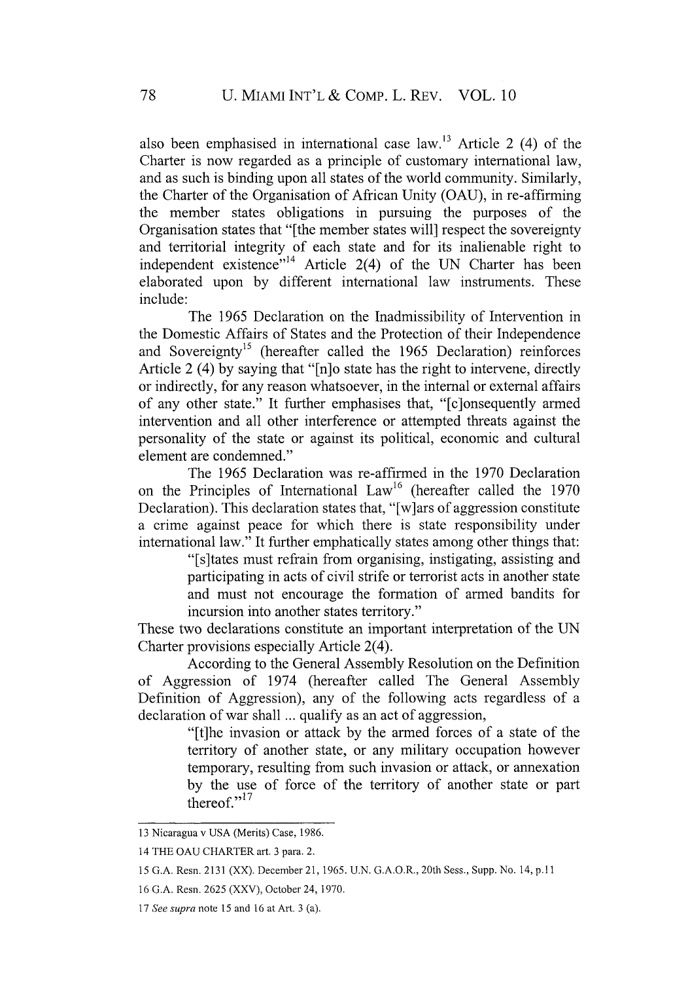also been emphasised in international case law.<sup>13</sup> Article 2 (4) of the Charter is now regarded as a principle of customary international law, and as such is binding upon all states of the world community. Similarly, the Charter of the Organisation of African Unity (OAU), in re-affirming the member states obligations in pursuing the purposes of the Organisation states that "[the member states will] respect the sovereignty and territorial integrity of each state and for its inalienable right to independent existence"<sup>14</sup> Article 2(4) of the UN Charter has been elaborated upon by different international law instruments. These include:

The 1965 Declaration on the Inadmissibility of Intervention in the Domestic Affairs of States and the Protection of their Independence and Sovereignty<sup>15</sup> (hereafter called the 1965 Declaration) reinforces Article 2 (4) by saying that "[n]o state has the right to intervene, directly or indirectly, for any reason whatsoever, in the internal or external affairs of any other state." It further emphasises that, "[c]onsequently armed intervention and all other interference or attempted threats against the personality of the state or against its political, economic and cultural element are condemned."

The 1965 Declaration was re-affirmed in the 1970 Declaration on the Principles of International  $Law<sup>16</sup>$  (hereafter called the 1970 Declaration). This declaration states that, "[w]ars of aggression constitute a crime against peace for which there is state responsibility under international law." It further emphatically states among other things that:

> "[s]tates must refrain from organising, instigating, assisting and participating in acts of civil strife or terrorist acts in another state and must not encourage the formation of armed bandits for incursion into another states territory."

These two declarations constitute an important interpretation of the UN Charter provisions especially Article 2(4).

According to the General Assembly Resolution on the Definition of Aggression of 1974 (hereafter called The General Assembly Definition of Aggression), any of the following acts regardless of a declaration of war shall ... qualify as an act of aggression,

> "[t]he invasion or attack by the armed forces of a state of the territory of another state, or any military occupation however temporary, resulting from such invasion or attack, or annexation by the use of force of the territory of another state or part thereof." $\frac{17}{2}$

<sup>13</sup> Nicaragua v USA (Merits) Case, 1986.

<sup>14</sup> THE OAU CHARTER art. 3 para. 2.

<sup>15</sup> G.A. Resn. 2131 (XX). December 21, 1965. U.N. G.A.O.R., 20th Sess., Supp. No. 14, **p.11**

<sup>16</sup> G.A. Resn. 2625 (XXV), October 24, 1970.

<sup>17</sup> *See supra* note 15 and 16 at Art. 3 (a).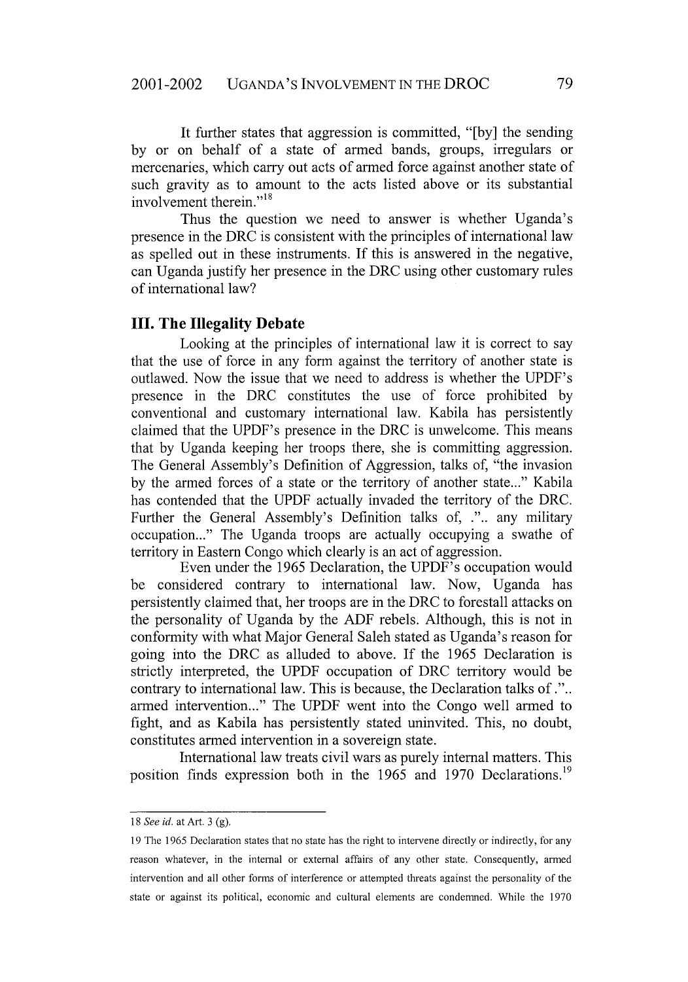It further states that aggression is committed, "[by] the sending by or on behalf of a state of armed bands, groups, irregulars or mercenaries, which carry out acts of armed force against another state of such gravity as to amount to the acts listed above or its substantial involvement therein."<sup>18</sup>

Thus the question we need to answer is whether Uganda's presence in the DRC is consistent with the principles of international law as spelled out in these instruments. If this is answered in the negative, can Uganda justify her presence in the DRC using other customary rules of international law?

#### **III. The Illegality Debate**

Looking at the principles of international law it is correct to say that the use of force in any form against the territory of another state is outlawed. Now the issue that we need to address is whether the UPDF's presence in the DRC constitutes the use of force prohibited by conventional and customary international law. Kabila has persistently claimed that the UPDF's presence in the DRC is unwelcome. This means that by Uganda keeping her troops there, she is committing aggression. The General Assembly's Definition of Aggression, talks of, "the invasion by the armed forces of a state or the territory of another state..." Kabila has contended that the UPDF actually invaded the territory of the DRC. Further the General Assembly's Definition talks of, .".. any military occupation..." The Uganda troops are actually occupying a swathe of territory in Eastern Congo which clearly is an act of aggression.

Even under the 1965 Declaration, the UPDF's occupation would be considered contrary to international law. Now, Uganda has persistently claimed that, her troops are in the DRC to forestall attacks on the personality of Uganda by the ADF rebels. Although, this is not in conformity with what Major General Saleh stated as Uganda's reason for going into the DRC as alluded to above. If the 1965 Declaration is strictly interpreted, the UPDF occupation of DRC territory would be contrary to international law. This is because, the Declaration talks of.".. armed intervention..." The UPDF went into the Congo well armed to fight, and as Kabila has persistently stated uninvited. This, no doubt, constitutes armed intervention in a sovereign state.

International law treats civil wars as purely internal matters. This position finds expression both in the 1965 and 1970 Declarations.<sup>19</sup>

*<sup>18</sup> See id.* at Art. 3 (g).

<sup>19</sup> The **1965** Declaration states that no state has the right to intervene directly or indirectly, for any reason whatever, in the internal or external affairs of any other state. Consequently, armed intervention and all other forms of interference or attempted threats against the personality of the state or against its political, economic and cultural elements are condemned. While the 1970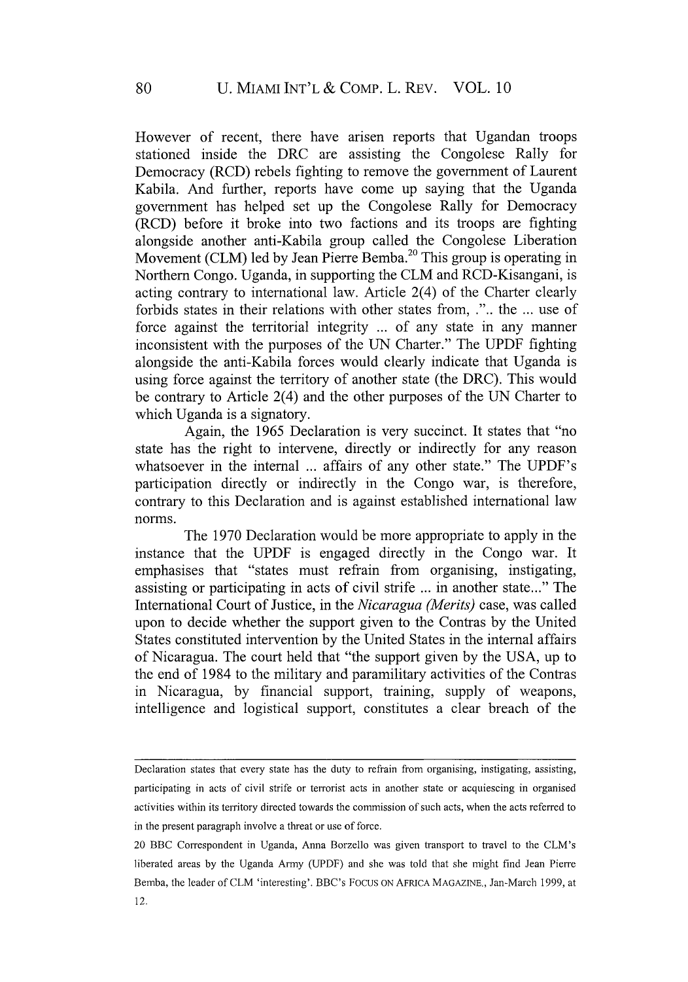However of recent, there have arisen reports that Ugandan troops stationed inside the DRC are assisting the Congolese Rally for Democracy (RCD) rebels fighting to remove the government of Laurent Kabila. And further, reports have come up saying that the Uganda government has helped set up the Congolese Rally for Democracy (RCD) before it broke into two factions and its troops are fighting alongside another anti-Kabila group called the Congolese Liberation Movement (CLM) led by Jean Pierre Bemba.<sup>20</sup> This group is operating in Northern Congo. Uganda, in supporting the CLM and RCD-Kisangani, is acting contrary to international law. Article 2(4) of the Charter clearly forbids states in their relations with other states from, .".. the ... use of force against the territorial integrity ... of any state in any manner inconsistent with the purposes of the UN Charter." The UPDF fighting alongside the anti-Kabila forces would clearly indicate that Uganda is using force against the territory of another state (the DRC). This would be contrary to Article 2(4) and the other purposes of the UN Charter to which Uganda is a signatory.

Again, the 1965 Declaration is very succinct. It states that "no state has the right to intervene, directly or indirectly for any reason whatsoever in the internal ... affairs of any other state." The UPDF's participation directly or indirectly in the Congo war, is therefore, contrary to this Declaration and is against established international law norms.

The 1970 Declaration would be more appropriate to apply in the instance that the **UPDF** is engaged directly in the Congo war. It emphasises that "states must refrain from organising, instigating, assisting or participating in acts of civil strife ... in another state..." The International Court of Justice, in the *Nicaragua (Merits)* case, was called upon to decide whether the support given to the Contras by the United States constituted intervention by the United States in the internal affairs of Nicaragua. The court held that "the support given by the USA, up to the end of 1984 to the military and paramilitary activities of the Contras in Nicaragua, by financial support, training, supply of weapons, intelligence and logistical support, constitutes a clear breach of the

Declaration states that every state has the duty to refrain from organising, instigating, assisting, participating in acts of civil strife or terrorist acts in another state or acquiescing in organised activities within its territory directed towards the commission of such acts, when the acts referred to in the present paragraph involve a threat or use of force.

<sup>20</sup> BBC Correspondent in Uganda, Anna Borzello was given transport to travel to the CLM's liberated areas by the Uganda Army (UPDF) and she was told that she might find Jean Pierre Bemba, the leader of CLM 'interesting'. BBC's Focus ON AFRICA MAGAZINE., Jan-March 1999, at $12.$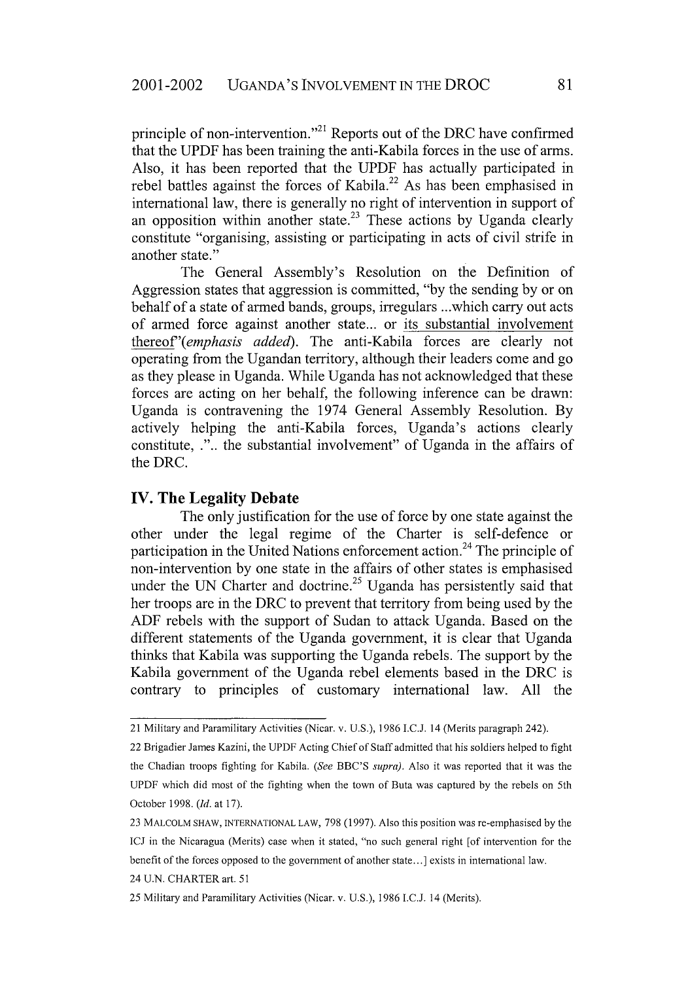principle of non-intervention."<sup>21</sup> Reports out of the DRC have confirmed that the UPDF has been training the anti-Kabila forces in the use of arms. Also, it has been reported that the UPDF has actually participated in rebel battles against the forces of Kabila.<sup>22</sup> As has been emphasised in international law, there is generally no right of intervention in support of an opposition within another state.<sup>23</sup> These actions by Uganda clearly constitute "organising, assisting or participating in acts of civil strife in another state."

The General Assembly's Resolution on the Definition of Aggression states that aggression is committed, "by the sending by or on behalf of a state of armed bands, groups, irregulars ...which carry out acts of armed force against another state... or its substantial involvement *thereof'(emphasis added).* The anti-Kabila forces are clearly not operating from the Ugandan territory, although their leaders come and go as they please in Uganda. While Uganda has not acknowledged that these forces are acting on her behalf, the following inference can be drawn: Uganda is contravening the 1974 General Assembly Resolution. By actively helping the anti-Kabila forces, Uganda's actions clearly constitute, .".. the substantial involvement" of Uganda in the affairs of the DRC.

#### **IV. The Legality Debate**

The only justification for the use of force **by** one state against the other under the legal regime of the Charter is self-defence or participation in the United Nations enforcement action.<sup>24</sup> The principle of non-intervention **by** one state in the affairs of other states is emphasised under the UN Charter and doctrine.<sup>25</sup> Uganda has persistently said that her troops are in the DRC to prevent that territory from being used **by** the **ADF** rebels with the support of Sudan to attack Uganda. Based on the different statements of the Uganda government, it is clear that Uganda thinks that Kabila was supporting the Uganda rebels. The support **by** the Kabila government of the Uganda rebel elements based in the DRC is contrary to principles of customary international law. **All** the

<sup>21</sup> Military and Paramilitary Activities (Nicar. v. U.S.), **1986** I.C.J. 14 (Merits paragraph 242).

<sup>22</sup> Brigadier James Kazini, the UPDF Acting Chief of Staff admitted that his soldiers helped to fight the Chadian troops fighting for Kabila. *(See* BBC'S *supra).* Also it was reported that it was the UPDF which did most of the fighting when the town of Buta was captured **by** the rebels on 5th October **1998.** *(Id.* at 17).

<sup>23</sup> MALCOLM SHAW, INTERNATIONAL LAW, 798 (1997). Also this position was re-emphasised by the ICJ in the Nicaragua (Merits) case when it stated, "no such general right [of intervention for the benefit of the forces opposed to the government of another state...] exists in international law.

<sup>24</sup> U.N. CHARTER art. 51

<sup>25</sup> Military and Paramilitary Activities (Nicar. v. U.S.), 1986 I.C.J. 14 (Merits).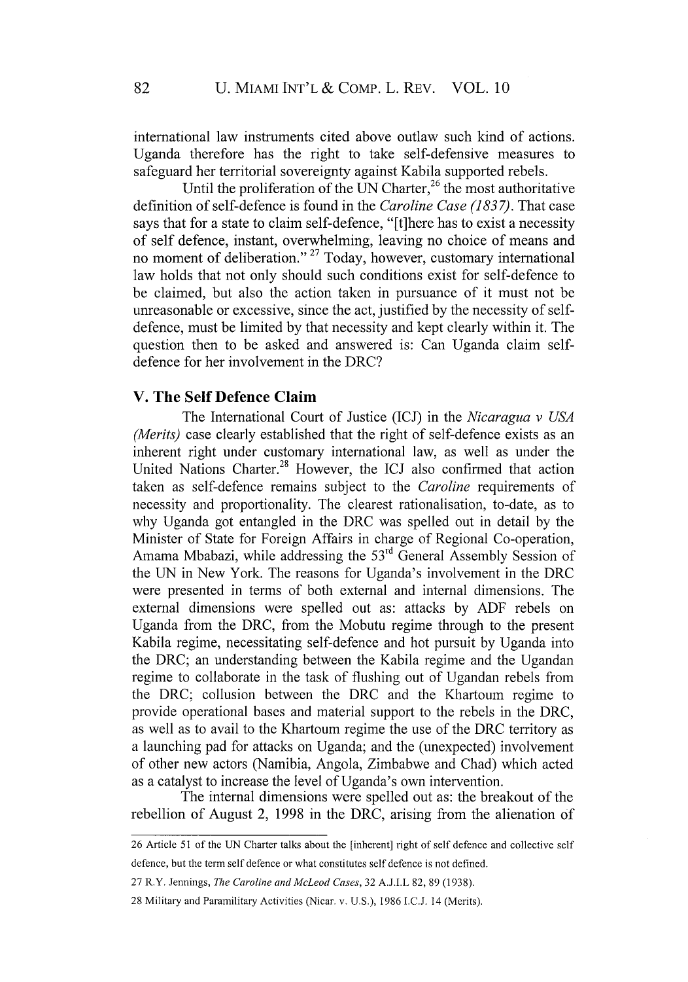international law instruments cited above outlaw such kind of actions. Uganda therefore has the right to take self-defensive measures to safeguard her territorial sovereignty against Kabila supported rebels.

Until the proliferation of the UN Charter,<sup>26</sup> the most authoritative definition of self-defence is found in the *Caroline Case (183 7).* That case says that for a state to claim self-defence, "[ft]here has to exist a necessity of self defence, instant, overwhelming, leaving no choice of means and no moment of deliberation."<sup>27</sup> Today, however, customary international law holds that not only should such conditions exist for self-defence to be claimed, but also the action taken in pursuance of it must not be unreasonable or excessive, since the act, justified by the necessity of selfdefence, must be limited by that necessity and kept clearly within it. The question then to be asked and answered is: Can Uganda claim selfdefence for her involvement in the DRC?

### **V. The Self Defence Claim**

The International Court of Justice (ICJ) in the *Nicaragua v USA (Merits)* case clearly established that the right of self-defence exists as an inherent right under customary international law, as well as under the United Nations Charter.<sup>28</sup> However, the ICJ also confirmed that action taken as self-defence remains subject to the *Caroline* requirements of necessity and proportionality. The clearest rationalisation, to-date, as to why Uganda got entangled in the DRC was spelled out in detail by the Minister of State for Foreign Affairs in charge of Regional Co-operation, Amama Mbabazi, while addressing the **<sup>5</sup> 3rd** General Assembly Session of the UN in New York. The reasons for Uganda's involvement in the DRC were presented in terms of both external and internal dimensions. The external dimensions were spelled out as: attacks by ADF rebels on Uganda from the DRC, from the Mobutu regime through to the present Kabila regime, necessitating self-defence and hot pursuit by Uganda into the DRC; an understanding between the Kabila regime and the Ugandan regime to collaborate in the task of flushing out of Ugandan rebels from the DRC; collusion between the DRC and the Khartoum regime to provide operational bases and material support to the rebels in the DRC, as well as to avail to the Khartoum regime the use of the DRC territory as a launching pad for attacks on Uganda; and the (unexpected) involvement of other new actors (Namibia, Angola, Zimbabwe and Chad) which acted as a catalyst to increase the level of Uganda's own intervention.

The internal dimensions were spelled out as: the breakout of the rebellion of August 2, 1998 in the DRC, arising from the alienation of

<sup>26</sup> Article 51 of the UN Charter talks about the [inherent] right of self defence and collective self defence, but the term self defence or what constitutes self defence is not defined.

<sup>27</sup> R.Y. Jennings, *The Caroline and McLeod Cases,* 32 A.J.I.L 82, 89 (1938).

<sup>28</sup> Military and Paramilitary Activities (Nicar. v. U.S.), 1986 I.C.J. 14 (Merits).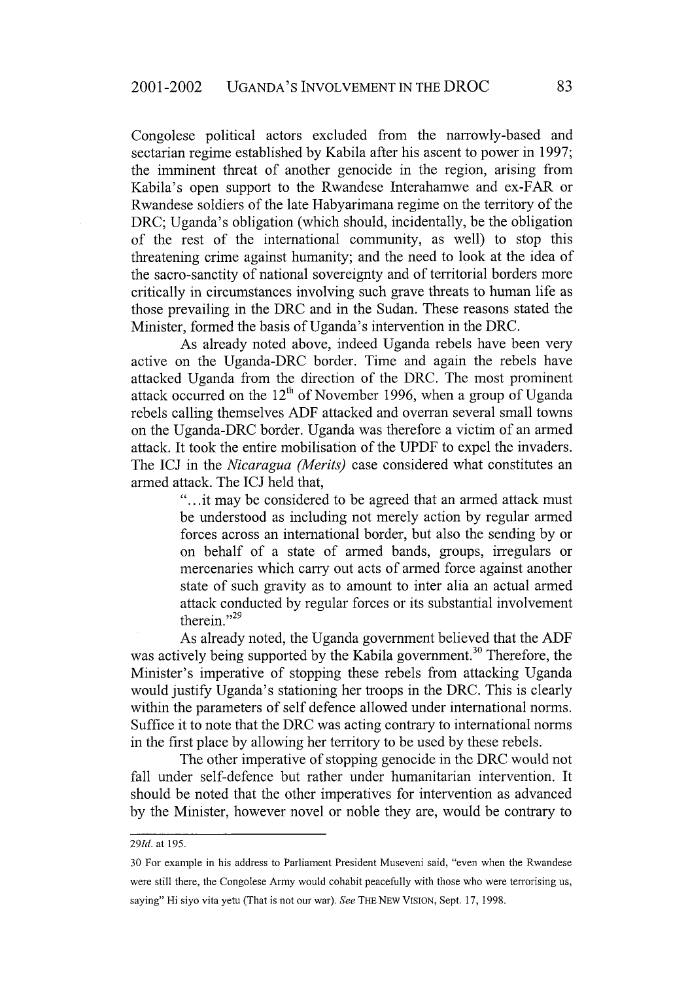Congolese political actors excluded from the narrowly-based and sectarian regime established by Kabila after his ascent to power in 1997; the imminent threat of another genocide in the region, arising from Kabila's open support to the Rwandese Interahamwe and ex-FAR or Rwandese soldiers of the late Habyarimana regime on the territory of the DRC; Uganda's obligation (which should, incidentally, be the obligation of the rest of the international community, as well) to stop this threatening crime against humanity; and the need to look at the idea of the sacro-sanctity of national sovereignty and of territorial borders more critically in circumstances involving such grave threats to human life as those prevailing in the DRC and in the Sudan. These reasons stated the Minister, formed the basis of Uganda's intervention in the DRC.

As already noted above, indeed Uganda rebels have been very active on the Uganda-DRC border. Time and again the rebels have attacked Uganda from the direction of the DRC. The most prominent attack occurred on the  $12<sup>th</sup>$  of November 1996, when a group of Uganda rebels calling themselves **ADF** attacked and overran several small towns on the Uganda-DRC border. Uganda was therefore a victim of an armed attack. It took the entire mobilisation of the UPDF to expel the invaders. The **ICJ** in the *Nicaragua (Merits)* case considered what constitutes an armed attack. The ICJ held that,

> "...it may be considered to be agreed that an armed attack must be understood as including not merely action by regular armed forces across an international border, but also the sending by or on behalf of a state of armed bands, groups, irregulars or mercenaries which carry out acts of armed force against another state of such gravity as to amount to inter alia an actual armed attack conducted by regular forces or its substantial involvement therein."<sup>29</sup>

As already noted, the Uganda government believed that the ADF was actively being supported by the Kabila government.<sup>30</sup> Therefore, the Minister's imperative of stopping these rebels from attacking Uganda would justify Uganda's stationing her troops in the DRC. This is clearly within the parameters of self defence allowed under international norms. Suffice it to note that the DRC was acting contrary to international norms in the first place by allowing her territory to be used by these rebels.

The other imperative of stopping genocide in the DRC would not fall under self-defence but rather under humanitarian intervention. It should be noted that the other imperatives for intervention as advanced by the Minister, however novel or noble they are, would be contrary to

*<sup>291</sup>d.* at 195.

<sup>30</sup> For example in his address to Parliament President Museveni said, "even when the Rwandese were still there, the Congolese Army would cohabit peacefully with those who were terrorising us, saying" Hi siyo vita yetu (That is not our war). *See* THE NEW VISION, Sept. 17, 1998.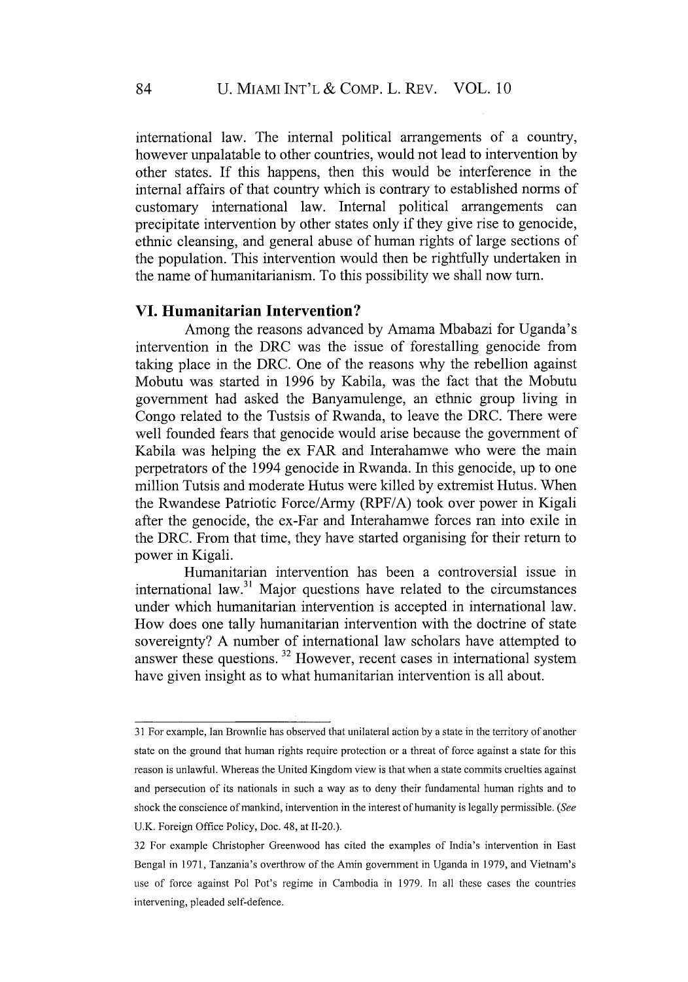international law. The internal political arrangements of a country, however unpalatable to other countries, would not lead to intervention by other states. If this happens, then this would be interference in the internal affairs of that country which is contrary to established norms of customary international law. Internal political arrangements can precipitate intervention by other states only if they give rise to genocide, ethnic cleansing, and general abuse of human rights of large sections of the population. This intervention would then be rightfully undertaken in the name of humanitarianism. To this possibility we shall now turn.

#### **VI. Humanitarian Intervention?**

Among the reasons advanced by Amama Mbabazi for Uganda's intervention in the DRC was the issue of forestalling genocide from taking place in the DRC. One of the reasons why the rebellion against Mobutu was started in 1996 by Kabila, was the fact that the Mobutu government had asked the Banyamulenge, an ethnic group living in Congo related to the Tustsis of Rwanda, to leave the DRC. There were well founded fears that genocide would arise because the government of Kabila was helping the ex FAR and Interahamwe who were the main perpetrators of the 1994 genocide in Rwanda. In this genocide, up to one million Tutsis and moderate Hutus were killed by extremist Hutus. When the Rwandese Patriotic Force/Army (RPF/A) took over power in Kigali after the genocide, the ex-Far and Interahamwe forces ran into exile in the DRC. From that time, they have started organising for their return to power in Kigali.

Humanitarian intervention has been a controversial issue in international law. $31$  Major questions have related to the circumstances under which humanitarian intervention is accepted in international law. How does one tally humanitarian intervention with the doctrine of state sovereignty? A number of international law scholars have attempted to answer these questions. 32 However, recent cases in international system have given insight as to what humanitarian intervention is all about.

<sup>31</sup> For example, Ian Brownlie has observed that unilateral action by a state in the territory of another state on the ground that human rights require protection or a threat of force against a state for this reason is unlawful. Whereas the United Kingdom view is that when a state commits cruelties against and persecution of its nationals in such a way as to deny their fundamental human rights and to shock the conscience of mankind, intervention in the interest of humanity is legally permissible. (See U.K. Foreign Office Policy, Doe. 48, at 11-20.).

<sup>32</sup> For example Christopher Greenwood has cited the examples of India's intervention in East Bengal in 1971, Tanzania's overthrow of the Amin government in Uganda in 1979, and Vietnam's use of force against Pol Pot's regime in Cambodia in 1979. In all these cases the countries intervening, pleaded self-defence.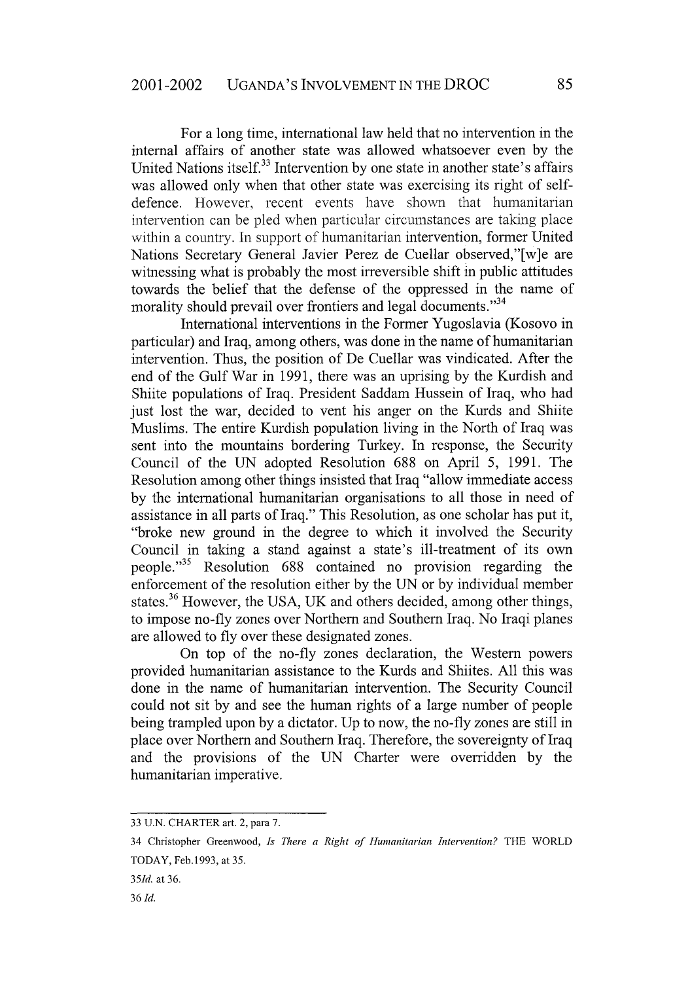For a long time, international law held that no intervention in the internal affairs of another state was allowed whatsoever even by the United Nations itself.<sup>33</sup> Intervention by one state in another state's affairs was allowed only when that other state was exercising its right of selfdefence. However, recent events have shown that humanitarian intervention can be pled when particular circumstances are taking place within a country. In support of humanitarian intervention, former United Nations Secretary General Javier Perez de Cuellar observed,"[w]e are witnessing what is probably the most irreversible shift in public attitudes towards the belief that the defense of the oppressed in the name of morality should prevail over frontiers and legal documents."<sup>34</sup>

International interventions in the Former Yugoslavia (Kosovo in particular) and Iraq, among others, was done in the name of humanitarian intervention. Thus, the position of De Cuellar was vindicated. After the end of the Gulf War in 1991, there was an uprising by the Kurdish and Shiite populations of Iraq. President Saddam Hussein of Iraq, who had just lost the war, decided to vent his anger on the Kurds and Shiite Muslims. The entire Kurdish population living in the North of Iraq was sent into the mountains bordering Turkey. In response, the Security Council of the UN adopted Resolution 688 on April 5, 1991. The Resolution among other things insisted that Iraq "allow immediate access by the international humanitarian organisations to all those in need of assistance in all parts of Iraq." This Resolution, as one scholar has put it, "broke new ground in the degree to which it involved the Security Council in taking a stand against a state's ill-treatment of its own people. 35 Resolution 688 contained no provision regarding the enforcement of the resolution either by the UN or by individual member states.<sup>36</sup> However, the USA, UK and others decided, among other things, to impose no-fly zones over Northern and Southern Iraq. No Iraqi planes are allowed to fly over these designated zones.

On top of the no-fly zones declaration, the Western powers provided humanitarian assistance to the Kurds and Shiites. All this was done in the name of humanitarian intervention. The Security Council could not sit by and see the human rights of a large number of people being trampled upon by a dictator. Up to now, the no-fly zones are still in place over Northern and Southern Iraq. Therefore, the sovereignty of Iraq and the provisions of the UN Charter were overridden by the humanitarian imperative.

<sup>33</sup> U.N. CHARTER art. 2, para 7.

<sup>34</sup> Christopher Greenwood, *Is There a Right of Humanitarian Intervention?* THE WORLD TODAY, Feb.1993, at 35.

*<sup>351</sup>d.* at 36.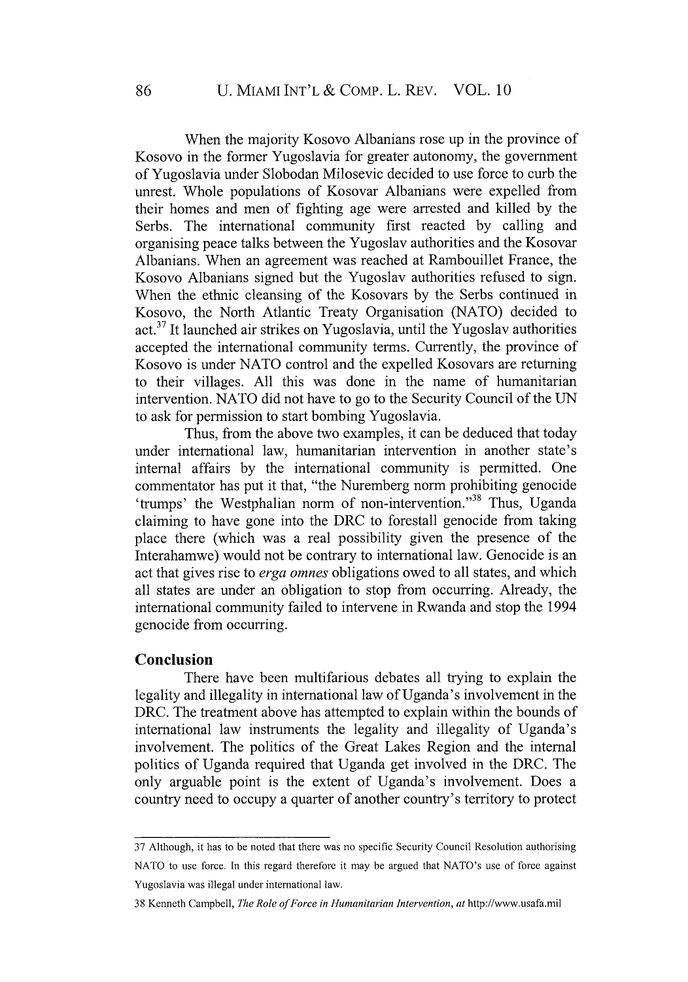When the majority Kosovo Albanians rose up in the province of Kosovo in the former Yugoslavia for greater autonomy, the government of Yugoslavia under Slobodan Milosevic decided to use force to curb the unrest. Whole populations of Kosovar Albanians were expelled from their homes and men of fighting age were arrested and killed by the Serbs. The international community first reacted by calling and organising peace talks between the Yugoslav authorities and the Kosovar Albanians. When an agreement was reached at Rambouillet France, the Kosovo Albanians signed but the Yugoslav authorities refused to sign. When the ethnic cleansing of the Kosovars by the Serbs continued in Kosovo, the North Atlantic Treaty Organisation (NATO) decided to act.37 It launched air strikes on Yugoslavia, until the Yugoslav authorities accepted the international community terms. Currently, the province of Kosovo is under NATO control and the expelled Kosovars are returning to their villages. All this was done in the name of humanitarian intervention. NATO did not have to go to the Security Council of the UN to ask for permission to start bombing Yugoslavia.

Thus, from the above two examples, it can be deduced that today under international law, humanitarian intervention in another state's internal affairs by the international community is permitted. One commentator has put it that, "the Nuremberg norm prohibiting genocide 'trumps' the Westphalian norm of non-intervention."<sup>38</sup> Thus, Uganda claiming to have gone into the DRC to forestall genocide from taking place there (which was a real possibility given the presence of the Interahamwe) would not be contrary to international law. Genocide is an act that gives rise to *erga omnes* obligations owed to all states, and which all states are under an obligation to stop from occurring. Already, the international community failed to intervene in Rwanda and stop the 1994 genocide from occurring.

#### **Conclusion**

There have been multifarious debates all trying to explain the legality and illegality in international law of Uganda's involvement in the DRC. The treatment above has attempted to explain within the bounds of international law instruments the legality and illegality of Uganda's involvement. The politics of the Great Lakes Region and the internal politics of Uganda required that Uganda get involved in the DRC. The only arguable point is the extent of Uganda's involvement. Does a country need to occupy a quarter of another country's territory to protect

<sup>37</sup> Although, it has to be noted that there was no specific Security Council Resolution authorising NATO to use force. In this regard therefore it may be argued that NATO's use of force against Yugoslavia was illegal under international law.

<sup>38</sup> Kenneth Campbell, *The Role of Force in Humanitarian Intervention, at* http://www.usafa.mil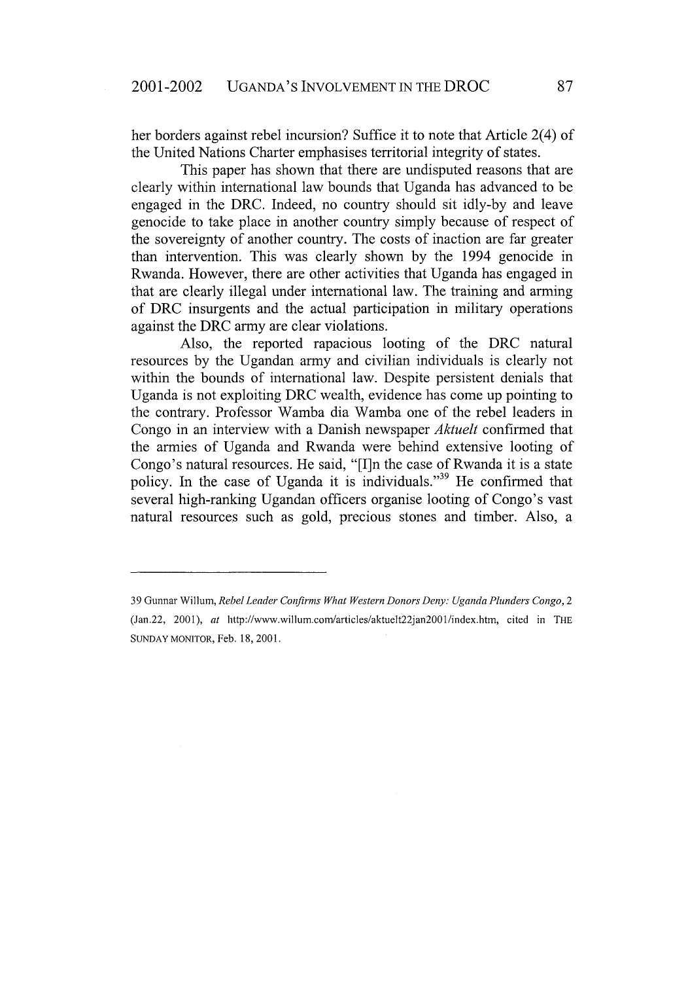her borders against rebel incursion? Suffice it to note that Article 2(4) of the United Nations Charter emphasises territorial integrity of states.

This paper has shown that there are undisputed reasons that are clearly within international law bounds that Uganda has advanced to be engaged in the DRC. Indeed, no country should sit idly-by and leave genocide to take place in another country simply because of respect of the sovereignty of another country. The costs of inaction are far greater than intervention. This was clearly shown by the 1994 genocide in Rwanda. However, there are other activities that Uganda has engaged in that are clearly illegal under international law. The training and arming of DRC insurgents and the actual participation in military operations against the DRC army are clear violations.

Also, the reported rapacious looting of the DRC natural resources by the Ugandan army and civilian individuals is clearly not within the bounds of international law. Despite persistent denials that Uganda is not exploiting DRC wealth, evidence has come up pointing to the contrary. Professor Wamba dia Wamba one of the rebel leaders in Congo in an interview with a Danish newspaper *Aktuelt* confirmed that the armies of Uganda and Rwanda were behind extensive looting of Congo's natural resources. He said, "[I]n the case of Rwanda it is a state policy. In the case of Uganda it is individuals."<sup>39</sup> He confirmed that several high-ranking Ugandan officers organise looting of Congo's vast natural resources such as gold, precious stones and timber. Also, a

<sup>39</sup> Gunnar willum, *Rebel Leader Confirms What Western Donors Deny: Uganda Plunders Congo, 2* (Jan.22, 2001), *at* http://www.willum.com/articles/aktuelt22jan20O1/index.htm, cited in THE **SUNDAY** MONITOR, Feb. 18, 2001.